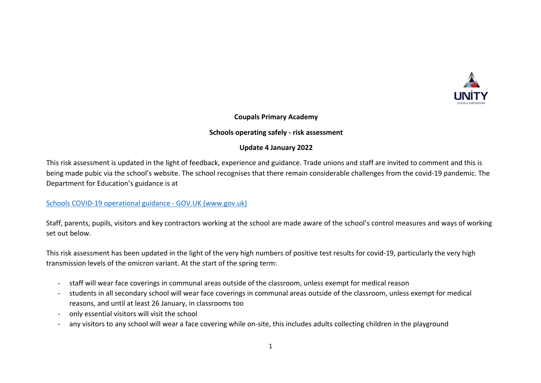

## **Coupals Primary Academy**

#### **Schools operating safely - risk assessment**

### **Update 4 January 2022**

This risk assessment is updated in the light of feedback, experience and guidance. Trade unions and staff are invited to comment and this is being made pubic via the school's website. The school recognises that there remain considerable challenges from the covid-19 pandemic. The Department for Education's guidance is at

### Schools COVID-19 operational guidance - GOV.UK (www.gov.uk)

Staff, parents, pupils, visitors and key contractors working at the school are made aware of the school's control measures and ways of working set out below.

This risk assessment has been updated in the light of the very high numbers of positive test results for covid-19, particularly the very high transmission levels of the omicron variant. At the start of the spring term:

- staff will wear face coverings in communal areas outside of the classroom, unless exempt for medical reason
- students in all secondary school will wear face coverings in communal areas outside of the classroom, unless exempt for medical reasons, and until at least 26 January, in classrooms too
- only essential visitors will visit the school
- any visitors to any school will wear a face covering while on-site, this includes adults collecting children in the playground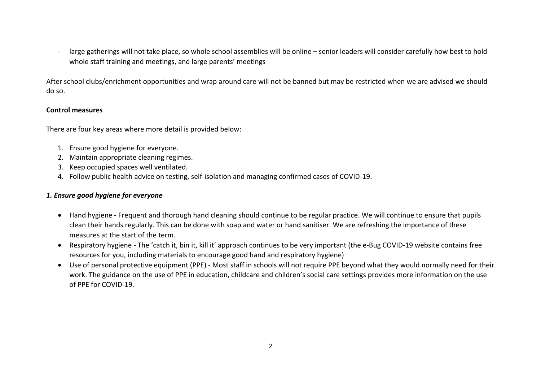large gatherings will not take place, so whole school assemblies will be online – senior leaders will consider carefully how best to hold whole staff training and meetings, and large parents' meetings

After school clubs/enrichment opportunities and wrap around care will not be banned but may be restricted when we are advised we should do so.

# **Control measures**

There are four key areas where more detail is provided below:

- 1. Ensure good hygiene for everyone.
- 2. Maintain appropriate cleaning regimes.
- 3. Keep occupied spaces well ventilated.
- 4. Follow public health advice on testing, self-isolation and managing confirmed cases of COVID-19.

## *1. Ensure good hygiene for everyone*

- Hand hygiene Frequent and thorough hand cleaning should continue to be regular practice. We will continue to ensure that pupils clean their hands regularly. This can be done with soap and water or hand sanitiser. We are refreshing the importance of these measures at the start of the term.
- Respiratory hygiene The 'catch it, bin it, kill it' approach continues to be very important (the e-Bug COVID-19 website contains free resources for you, including materials to encourage good hand and respiratory hygiene)
- Use of personal protective equipment (PPE) Most staff in schools will not require PPE beyond what they would normally need for their work. The guidance on the use of PPE in education, childcare and children's social care settings provides more information on the use of PPE for COVID-19.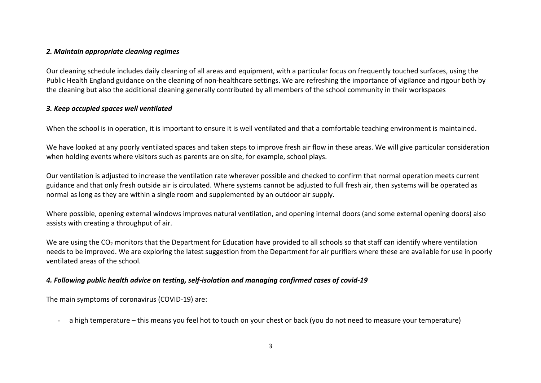### *2. Maintain appropriate cleaning regimes*

Our cleaning schedule includes daily cleaning of all areas and equipment, with a particular focus on frequently touched surfaces, using the Public Health England guidance on the cleaning of non-healthcare settings. We are refreshing the importance of vigilance and rigour both by the cleaning but also the additional cleaning generally contributed by all members of the school community in their workspaces

### *3. Keep occupied spaces well ventilated*

When the school is in operation, it is important to ensure it is well ventilated and that a comfortable teaching environment is maintained.

We have looked at any poorly ventilated spaces and taken steps to improve fresh air flow in these areas. We will give particular consideration when holding events where visitors such as parents are on site, for example, school plays.

Our ventilation is adjusted to increase the ventilation rate wherever possible and checked to confirm that normal operation meets current guidance and that only fresh outside air is circulated. Where systems cannot be adjusted to full fresh air, then systems will be operated as normal as long as they are within a single room and supplemented by an outdoor air supply.

Where possible, opening external windows improves natural ventilation, and opening internal doors (and some external opening doors) also assists with creating a throughput of air.

We are using the CO<sub>2</sub> monitors that the Department for Education have provided to all schools so that staff can identify where ventilation needs to be improved. We are exploring the latest suggestion from the Department for air purifiers where these are available for use in poorly ventilated areas of the school.

## *4. Following public health advice on testing, self-isolation and managing confirmed cases of covid-19*

The main symptoms of coronavirus (COVID-19) are:

a high temperature – this means you feel hot to touch on your chest or back (you do not need to measure your temperature)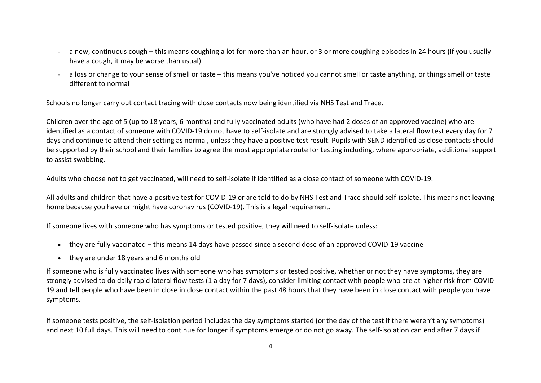- a new, continuous cough this means coughing a lot for more than an hour, or 3 or more coughing episodes in 24 hours (if you usually have a cough, it may be worse than usual)
- a loss or change to your sense of smell or taste this means you've noticed you cannot smell or taste anything, or things smell or taste different to normal

Schools no longer carry out contact tracing with close contacts now being identified via NHS Test and Trace.

Children over the age of 5 (up to 18 years, 6 months) and fully vaccinated adults (who have had 2 doses of an approved vaccine) who are identified as a contact of someone with COVID-19 do not have to self-isolate and are strongly advised to take a lateral flow test every day for 7 days and continue to attend their setting as normal, unless they have a positive test result. Pupils with SEND identified as close contacts should be supported by their school and their families to agree the most appropriate route for testing including, where appropriate, additional support to assist swabbing.

Adults who choose not to get vaccinated, will need to self-isolate if identified as a close contact of someone with COVID-19.

All adults and children that have a positive test for COVID-19 or are told to do by NHS Test and Trace should self-isolate. This means not leaving home because you have or might have coronavirus (COVID-19). This is a legal requirement.

If someone lives with someone who has symptoms or tested positive, they will need to self-isolate unless:

- they are fully vaccinated this means 14 days have passed since a second dose of an approved COVID-19 vaccine
- they are under 18 years and 6 months old

If someone who is fully vaccinated lives with someone who has symptoms or tested positive, whether or not they have symptoms, they are strongly advised to do daily rapid lateral flow tests (1 a day for 7 days), consider limiting contact with people who are at higher risk from COVID-19 and tell people who have been in close in close contact within the past 48 hours that they have been in close contact with people you have symptoms.

If someone tests positive, the self-isolation period includes the day symptoms started (or the day of the test if there weren't any symptoms) and next 10 full days. This will need to continue for longer if symptoms emerge or do not go away. The self-isolation can end after 7 days if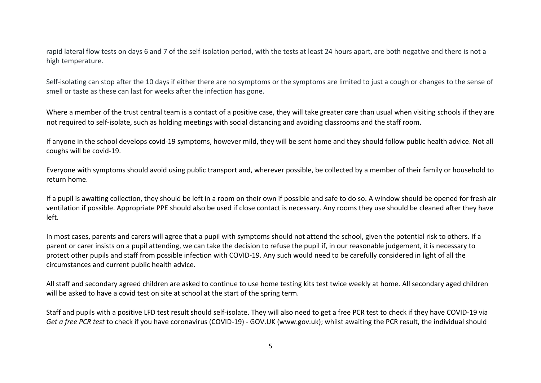rapid lateral flow tests on days 6 and 7 of the self-isolation period, with the tests at least 24 hours apart, are both negative and there is not a high temperature.

Self-isolating can stop after the 10 days if either there are no symptoms or the symptoms are limited to just a cough or changes to the sense of smell or taste as these can last for weeks after the infection has gone.

Where a member of the trust central team is a contact of a positive case, they will take greater care than usual when visiting schools if they are not required to self-isolate, such as holding meetings with social distancing and avoiding classrooms and the staff room.

If anyone in the school develops covid-19 symptoms, however mild, they will be sent home and they should follow public health advice. Not all coughs will be covid-19.

Everyone with symptoms should avoid using public transport and, wherever possible, be collected by a member of their family or household to return home.

If a pupil is awaiting collection, they should be left in a room on their own if possible and safe to do so. A window should be opened for fresh air ventilation if possible. Appropriate PPE should also be used if close contact is necessary. Any rooms they use should be cleaned after they have left.

In most cases, parents and carers will agree that a pupil with symptoms should not attend the school, given the potential risk to others. If a parent or carer insists on a pupil attending, we can take the decision to refuse the pupil if, in our reasonable judgement, it is necessary to protect other pupils and staff from possible infection with COVID-19. Any such would need to be carefully considered in light of all the circumstances and current public health advice.

All staff and secondary agreed children are asked to continue to use home testing kits test twice weekly at home. All secondary aged children will be asked to have a covid test on site at school at the start of the spring term.

Staff and pupils with a positive LFD test result should self-isolate. They will also need to get a free PCR test to check if they have COVID-19 via *Get a free PCR test* to check if you have coronavirus (COVID-19) - GOV.UK (www.gov.uk); whilst awaiting the PCR result, the individual should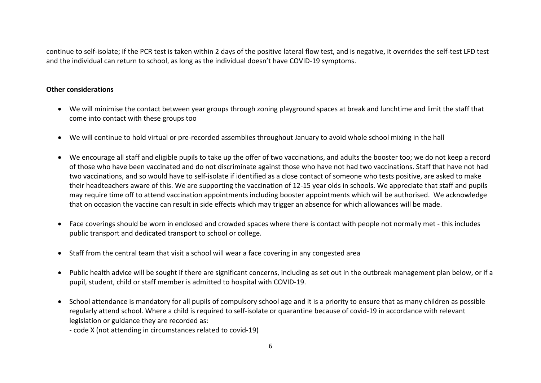continue to self-isolate; if the PCR test is taken within 2 days of the positive lateral flow test, and is negative, it overrides the self-test LFD test and the individual can return to school, as long as the individual doesn't have COVID-19 symptoms.

# **Other considerations**

- We will minimise the contact between year groups through zoning playground spaces at break and lunchtime and limit the staff that come into contact with these groups too
- We will continue to hold virtual or pre-recorded assemblies throughout January to avoid whole school mixing in the hall
- We encourage all staff and eligible pupils to take up the offer of two vaccinations, and adults the booster too; we do not keep a record of those who have been vaccinated and do not discriminate against those who have not had two vaccinations. Staff that have not had two vaccinations, and so would have to self-isolate if identified as a close contact of someone who tests positive, are asked to make their headteachers aware of this. We are supporting the vaccination of 12-15 year olds in schools. We appreciate that staff and pupils may require time off to attend vaccination appointments including booster appointments which will be authorised. We acknowledge that on occasion the vaccine can result in side effects which may trigger an absence for which allowances will be made.
- Face coverings should be worn in enclosed and crowded spaces where there is contact with people not normally met this includes public transport and dedicated transport to school or college.
- Staff from the central team that visit a school will wear a face covering in any congested area
- Public health advice will be sought if there are significant concerns, including as set out in the outbreak management plan below, or if a pupil, student, child or staff member is admitted to hospital with COVID-19.
- School attendance is mandatory for all pupils of compulsory school age and it is a priority to ensure that as many children as possible regularly attend school. Where a child is required to self-isolate or quarantine because of covid-19 in accordance with relevant legislation or guidance they are recorded as:
	- code X (not attending in circumstances related to covid-19)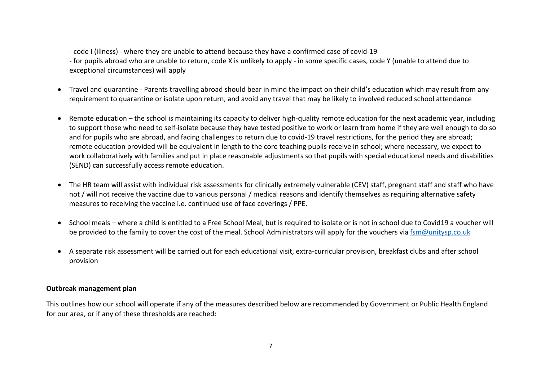- code I (illness) - where they are unable to attend because they have a confirmed case of covid-19

- for pupils abroad who are unable to return, code X is unlikely to apply - in some specific cases, code Y (unable to attend due to exceptional circumstances) will apply

- Travel and quarantine Parents travelling abroad should bear in mind the impact on their child's education which may result from any requirement to quarantine or isolate upon return, and avoid any travel that may be likely to involved reduced school attendance
- Remote education the school is maintaining its capacity to deliver high-quality remote education for the next academic year, including to support those who need to self-isolate because they have tested positive to work or learn from home if they are well enough to do so and for pupils who are abroad, and facing challenges to return due to covid-19 travel restrictions, for the period they are abroad; remote education provided will be equivalent in length to the core teaching pupils receive in school; where necessary, we expect to work collaboratively with families and put in place reasonable adjustments so that pupils with special educational needs and disabilities (SEND) can successfully access remote education.
- The HR team will assist with individual risk assessments for clinically extremely vulnerable (CEV) staff, pregnant staff and staff who have not / will not receive the vaccine due to various personal / medical reasons and identify themselves as requiring alternative safety measures to receiving the vaccine i.e. continued use of face coverings / PPE.
- School meals where a child is entitled to a Free School Meal, but is required to isolate or is not in school due to Covid19 a voucher will be provided to the family to cover the cost of the meal. School Administrators will apply for the vouchers via fsm@unitysp.co.uk
- A separate risk assessment will be carried out for each educational visit, extra-curricular provision, breakfast clubs and after school provision

#### **Outbreak management plan**

This outlines how our school will operate if any of the measures described below are recommended by Government or Public Health England for our area, or if any of these thresholds are reached: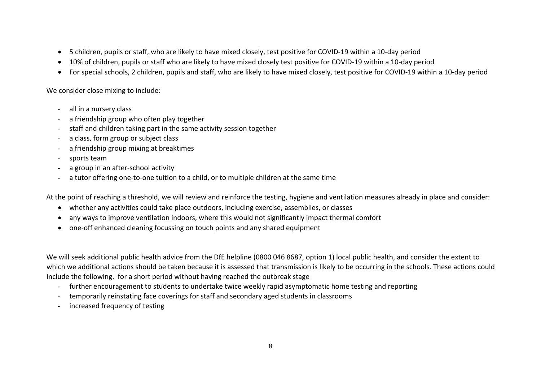- 5 children, pupils or staff, who are likely to have mixed closely, test positive for COVID-19 within a 10-day period
- 10% of children, pupils or staff who are likely to have mixed closely test positive for COVID-19 within a 10-day period
- For special schools, 2 children, pupils and staff, who are likely to have mixed closely, test positive for COVID-19 within a 10-day period

We consider close mixing to include:

- all in a nursery class
- a friendship group who often play together
- staff and children taking part in the same activity session together
- a class, form group or subject class
- a friendship group mixing at breaktimes
- sports team
- a group in an after-school activity
- a tutor offering one-to-one tuition to a child, or to multiple children at the same time

At the point of reaching a threshold, we will review and reinforce the testing, hygiene and ventilation measures already in place and consider:

- whether any activities could take place outdoors, including exercise, assemblies, or classes
- any ways to improve ventilation indoors, where this would not significantly impact thermal comfort
- one-off enhanced cleaning focussing on touch points and any shared equipment

We will seek additional public health advice from the DfE helpline (0800 046 8687, option 1) local public health, and consider the extent to which we additional actions should be taken because it is assessed that transmission is likely to be occurring in the schools. These actions could include the following. for a short period without having reached the outbreak stage

- further encouragement to students to undertake twice weekly rapid asymptomatic home testing and reporting
- temporarily reinstating face coverings for staff and secondary aged students in classrooms
- increased frequency of testing